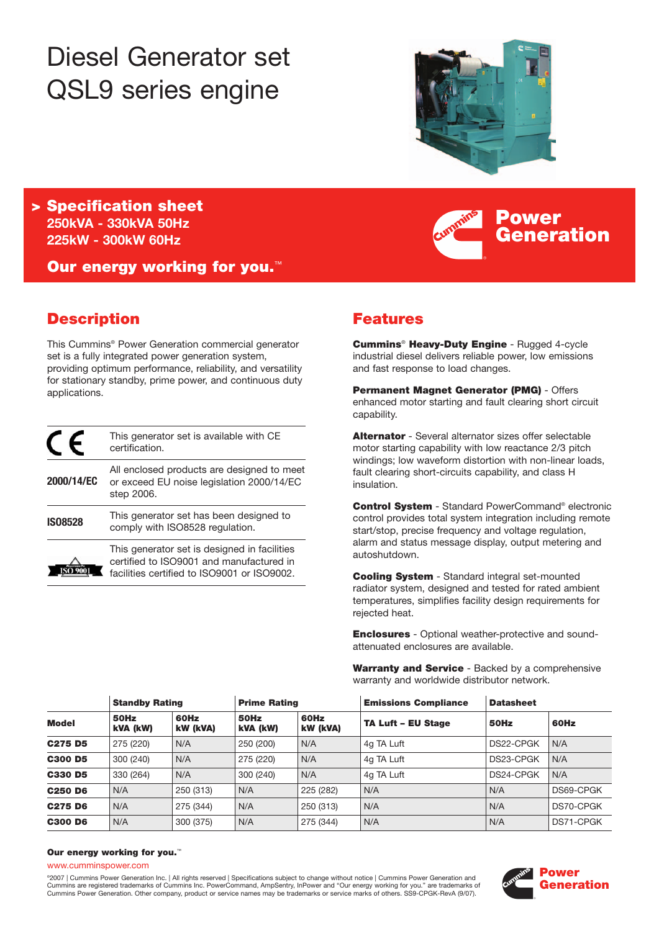# Diesel Generator set QSL9 series engine



**Power**

**Generation**

**> Specification sheet 250kVA - 330kVA 50Hz 225kW - 300kW 60Hz**

**Our energy working for you.**™

# **Description**

This Cummins® Power Generation commercial generator set is a fully integrated power generation system, providing optimum performance, reliability, and versatility for stationary standby, prime power, and continuous duty applications.

|                | This generator set is available with CE<br>certification.                                                                               |
|----------------|-----------------------------------------------------------------------------------------------------------------------------------------|
| 2000/14/EC     | All enclosed products are designed to meet<br>or exceed EU noise legislation 2000/14/EC<br>step 2006.                                   |
| <b>IS08528</b> | This generator set has been designed to<br>comply with ISO8528 regulation.                                                              |
|                | This generator set is designed in facilities<br>certified to ISO9001 and manufactured in<br>facilities certified to ISO9001 or ISO9002. |

# **Features**

**Cummins**® **Heavy-Duty Engine** - Rugged 4-cycle industrial diesel delivers reliable power, low emissions and fast response to load changes.

**Permanent Magnet Generator (PMG)** - Offers enhanced motor starting and fault clearing short circuit capability.

**Alternator** - Several alternator sizes offer selectable motor starting capability with low reactance 2/3 pitch windings; low waveform distortion with non-linear loads, fault clearing short-circuits capability, and class H insulation.

**Control System** - Standard PowerCommand® electronic control provides total system integration including remote start/stop, precise frequency and voltage regulation, alarm and status message display, output metering and autoshutdown.

**Cooling System** - Standard integral set-mounted radiator system, designed and tested for rated ambient temperatures, simplifies facility design requirements for rejected heat.

**Enclosures** - Optional weather-protective and soundattenuated enclosures are available.

**Warranty and Service** - Backed by a comprehensive warranty and worldwide distributor network.

| <b>Model</b>   | <b>Standby Rating</b> |                  | <b>Prime Rating</b> |                  | <b>Emissions Compliance</b> | <b>Datasheet</b> |           |
|----------------|-----------------------|------------------|---------------------|------------------|-----------------------------|------------------|-----------|
|                | 50Hz<br>kVA (kW)      | 60Hz<br>kW (kVA) | 50Hz<br>kVA (kW)    | 60Hz<br>kW (kVA) | <b>TA Luft - EU Stage</b>   | 50Hz             | 60Hz      |
| C275 D5        | 275 (220)             | N/A              | 250 (200)           | N/A              | 4g TA Luft                  | DS22-CPGK        | N/A       |
| <b>C300 D5</b> | 300 (240)             | N/A              | 275 (220)           | N/A              | 4g TA Luft                  | DS23-CPGK        | N/A       |
| <b>C330 D5</b> | 330 (264)             | N/A              | 300 (240)           | N/A              | 4q TA Luft                  | DS24-CPGK        | N/A       |
| <b>C250 D6</b> | N/A                   | 250 (313)        | N/A                 | 225 (282)        | N/A                         | N/A              | DS69-CPGK |
| C275 D6        | N/A                   | 275 (344)        | N/A                 | 250 (313)        | N/A                         | N/A              | DS70-CPGK |
| <b>C300 D6</b> | N/A                   | 300 (375)        | N/A                 | 275 (344)        | N/A                         | N/A              | DS71-CPGK |

#### **Our energy working for you.**™

www.cumminspower.com

°2007 | Cummins Power Generation Inc. | All rights reserved | Specifications subject to change without notice | Cummins Power Generation and<br>Cummins are registered trademarks of Cummins Inc. PowerCommand, AmpSentry, InPow Cummins Power Generation. Other company, product or service names may be trademarks or service marks of others. SS9-CPGK-RevA (9/07).

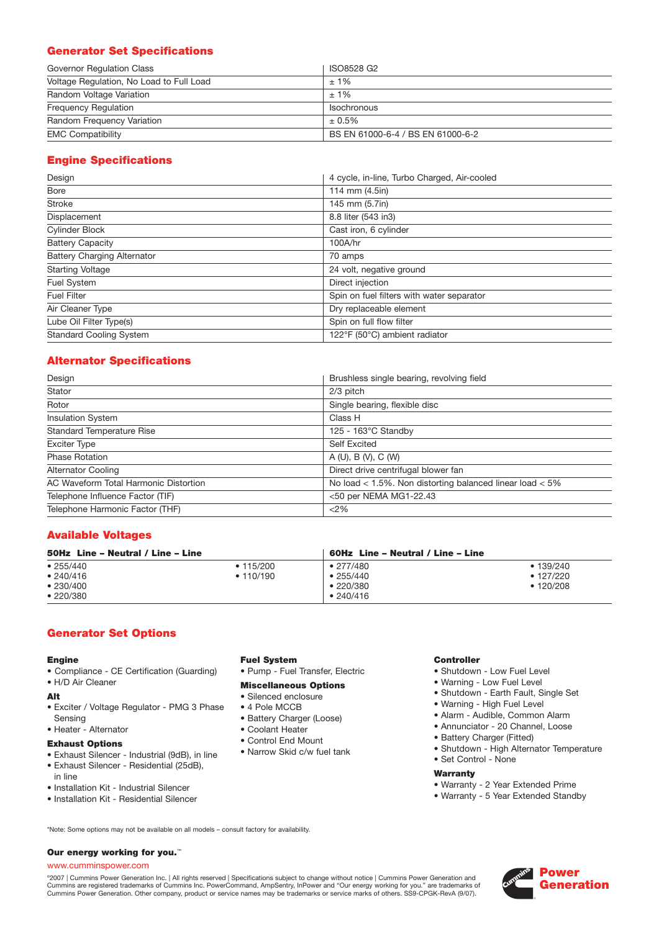# **Generator Set Specifications**

| Governor Regulation Class                | ISO8528 G2                        |
|------------------------------------------|-----------------------------------|
| Voltage Regulation, No Load to Full Load | $±1\%$                            |
| Random Voltage Variation                 | $+1\%$                            |
| <b>Frequency Requiation</b>              | <b>Isochronous</b>                |
| Random Frequency Variation               | $± 0.5\%$                         |
| <b>EMC Compatibility</b>                 | BS EN 61000-6-4 / BS EN 61000-6-2 |

# **Engine Specifications**

| Design                             | 4 cycle, in-line, Turbo Charged, Air-cooled |
|------------------------------------|---------------------------------------------|
| Bore                               | 114 mm (4.5in)                              |
| <b>Stroke</b>                      | 145 mm (5.7in)                              |
| Displacement                       | 8.8 liter (543 in3)                         |
| Cylinder Block                     | Cast iron, 6 cylinder                       |
| <b>Battery Capacity</b>            | 100A/hr                                     |
| <b>Battery Charging Alternator</b> | 70 amps                                     |
| <b>Starting Voltage</b>            | 24 volt, negative ground                    |
| Fuel System                        | Direct injection                            |
| <b>Fuel Filter</b>                 | Spin on fuel filters with water separator   |
| Air Cleaner Type                   | Dry replaceable element                     |
| Lube Oil Filter Type(s)            | Spin on full flow filter                    |
| <b>Standard Cooling System</b>     | 122°F (50°C) ambient radiator               |

# **Alternator Specifications**

| Design                                | Brushless single bearing, revolving field                    |
|---------------------------------------|--------------------------------------------------------------|
| Stator                                | $2/3$ pitch                                                  |
| Rotor                                 | Single bearing, flexible disc                                |
| <b>Insulation System</b>              | Class H                                                      |
| <b>Standard Temperature Rise</b>      | $125 - 163^{\circ}$ C Standby                                |
| <b>Exciter Type</b>                   | <b>Self Excited</b>                                          |
| <b>Phase Rotation</b>                 | A (U), B (V), C (W)                                          |
| <b>Alternator Cooling</b>             | Direct drive centrifugal blower fan                          |
| AC Waveform Total Harmonic Distortion | No load $<$ 1.5%. Non distorting balanced linear load $<$ 5% |
| Telephone Influence Factor (TIF)      | <50 per NEMA MG1-22.43                                       |
| Telephone Harmonic Factor (THF)       | <2%                                                          |

# **Available Voltages**

| 50Hz Line - Neutral / Line - Line |                 | 60Hz Line – Neutral / Line – Line |                 |  |
|-----------------------------------|-----------------|-----------------------------------|-----------------|--|
| •255/440                          | $\cdot$ 115/200 | $\bullet$ 277/480                 | • 139/240       |  |
| • 240/416                         | • 110/190       | •255/440                          | $\cdot$ 127/220 |  |
| •230/400                          |                 | $\cdot$ 220/380                   | • 120/208       |  |
| •220/380                          |                 | •240/416                          |                 |  |

# **Generator Set Options**

# **Engine**

- Compliance CE Certification (Guarding)
- H/D Air Cleaner

# **Alt**

- Exciter / Voltage Regulator PMG 3 Phase Sensing
- Heater Alternator

# **Exhaust Options**

- Exhaust Silencer Industrial (9dB), in line
- Exhaust Silencer Residential (25dB),
- in line
- Installation Kit Industrial Silencer
- Installation Kit Residential Silencer
- **Fuel System**
- Pump Fuel Transfer, Electric

## **Miscellaneous Options**

- Silenced enclosure
- 4 Pole MCCB
- Battery Charger (Loose)
- Coolant Heater
- Control End Mount
- Narrow Skid c/w fuel tank

# **Controller**

- Shutdown Low Fuel Level
- Warning Low Fuel Level
- Shutdown Earth Fault, Single Set
- Warning High Fuel Level
- Alarm Audible, Common Alarm
- Annunciator 20 Channel, Loose
- Battery Charger (Fitted)
- Shutdown High Alternator Temperature
- Set Control None

# **Warranty**

- Warranty 2 Year Extended Prime
- Warranty 5 Year Extended Standby

\*Note: Some options may not be available on all models – consult factory for availability.

# **Our energy working for you.**™

# www.cumminspower.com

°2007 | Cummins Power Generation Inc. | All rights reserved | Specifications subject to change without notice | Cummins Power Generation and<br>Cummins are registered trademarks of Cummins Inc. PowerCommand, AmpSentry, InPow Cummins Power Generation. Other company, product or service names may be trademarks or service marks of others. SS9-CPGK-RevA (9/07).

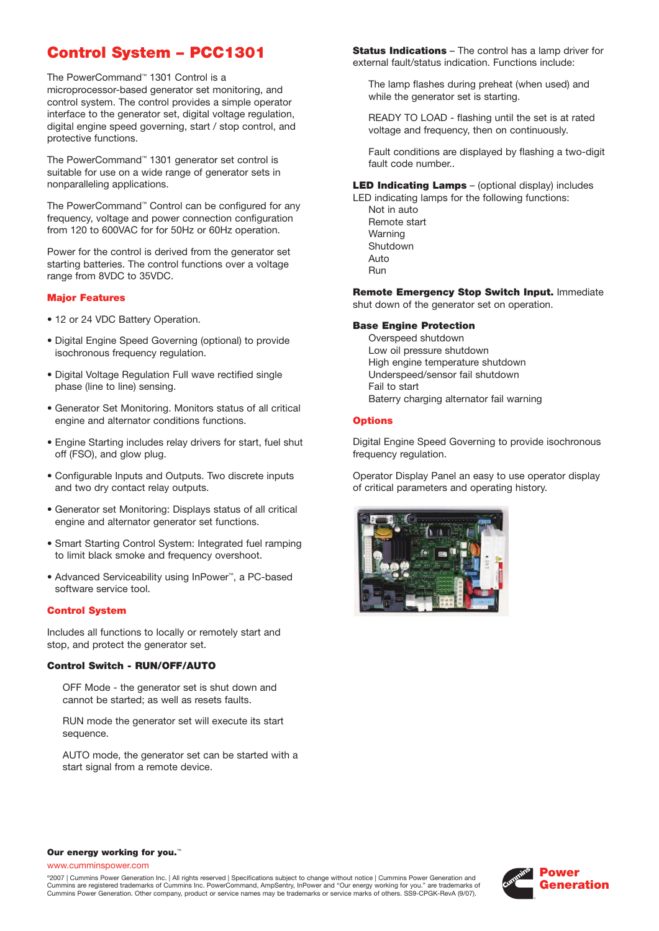# **Control System – PCC1301**

The PowerCommand™ 1301 Control is a microprocessor-based generator set monitoring, and control system. The control provides a simple operator interface to the generator set, digital voltage regulation, digital engine speed governing, start / stop control, and protective functions.

The PowerCommand™ 1301 generator set control is suitable for use on a wide range of generator sets in nonparalleling applications.

The PowerCommand™ Control can be configured for any frequency, voltage and power connection configuration from 120 to 600VAC for for 50Hz or 60Hz operation.

Power for the control is derived from the generator set starting batteries. The control functions over a voltage range from 8VDC to 35VDC.

### **Major Features**

- 12 or 24 VDC Battery Operation.
- Digital Engine Speed Governing (optional) to provide isochronous frequency regulation.
- Digital Voltage Regulation Full wave rectified single phase (line to line) sensing.
- Generator Set Monitoring. Monitors status of all critical engine and alternator conditions functions.
- Engine Starting includes relay drivers for start, fuel shut off (FSO), and glow plug.
- Configurable Inputs and Outputs. Two discrete inputs and two dry contact relay outputs.
- Generator set Monitoring: Displays status of all critical engine and alternator generator set functions.
- Smart Starting Control System: Integrated fuel ramping to limit black smoke and frequency overshoot.
- Advanced Serviceability using InPower™, a PC-based software service tool.

# **Control System**

Includes all functions to locally or remotely start and stop, and protect the generator set.

#### **Control Switch - RUN/OFF/AUTO**

OFF Mode - the generator set is shut down and cannot be started; as well as resets faults.

RUN mode the generator set will execute its start sequence.

AUTO mode, the generator set can be started with a start signal from a remote device.

**Status Indications** – The control has a lamp driver for external fault/status indication. Functions include:

The lamp flashes during preheat (when used) and while the generator set is starting.

READY TO LOAD - flashing until the set is at rated voltage and frequency, then on continuously.

Fault conditions are displayed by flashing a two-digit fault code number..

**LED Indicating Lamps** – (optional display) includes

LED indicating lamps for the following functions: Not in auto Remote start Warning Shutdown Auto Run

**Remote Emergency Stop Switch Input.** Immediate shut down of the generator set on operation.

#### **Base Engine Protection**

Overspeed shutdown Low oil pressure shutdown High engine temperature shutdown Underspeed/sensor fail shutdown Fail to start Baterry charging alternator fail warning

# **Options**

Digital Engine Speed Governing to provide isochronous frequency regulation.

Operator Display Panel an easy to use operator display of critical parameters and operating history.



#### **Our energy working for you.**™

www.cumminspower.com

©2007 | Cummins Power Generation Inc. | All rights reserved | Specifications subject to change without notice | Cummins Power Generation and Cummins are registered trademarks of Cummins Inc. PowerCommand, AmpSentry, InPower and "Our energy working for you." are trademarks of Cummins Power Generation. Other company, product or service names may be trademarks or service marks of others. SS9-CPGK-RevA (9/07).